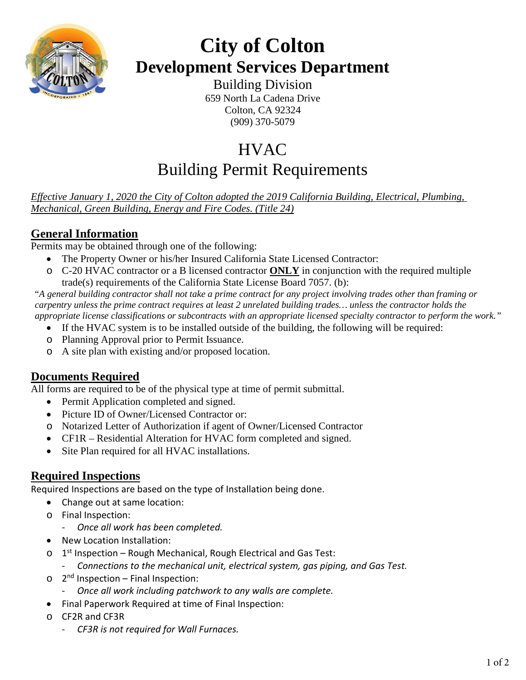

# **City of Colton Development Services Department**

Building Division 659 North La Cadena Drive Colton, CA 92324 (909) 370-5079

## **HVAC** Building Permit Requirements

*Effective January 1, 2020 the City of Colton adopted the 2019 California Building, Electrical, Plumbing, Mechanical, Green Building, Energy and Fire Codes. (Title 24)*

### **General Information**

Permits may be obtained through one of the following:

- The Property Owner or his/her Insured California State Licensed Contractor:
- o C-20 HVAC contractor or a B licensed contractor **ONLY** in conjunction with the required multiple trade(s) requirements of the California State License Board 7057. (b):

"*A general building contractor shall not take a prime contract for any project involving trades other than framing or carpentry unless the prime contract requires at least 2 unrelated building trades… unless the contractor holds the appropriate license classifications or subcontracts with an appropriate licensed specialty contractor to perform the work."*

- If the HVAC system is to be installed outside of the building, the following will be required:
- o Planning Approval prior to Permit Issuance.
- o A site plan with existing and/or proposed location.

#### **Documents Required**

All forms are required to be of the physical type at time of permit submittal.

- Permit Application completed and signed.
- Picture ID of Owner/Licensed Contractor or:
- o Notarized Letter of Authorization if agent of Owner/Licensed Contractor
- CF1R Residential Alteration for HVAC form completed and signed.
- Site Plan required for all HVAC installations.

#### **Required Inspections**

Required Inspections are based on the type of Installation being done.

- Change out at same location:
- o Final Inspection:
	- *Once all work has been completed.*
- New Location Installation:
- $\circ$  1<sup>st</sup> Inspection Rough Mechanical, Rough Electrical and Gas Test:
	- *Connections to the mechanical unit, electrical system, gas piping, and Gas Test.*
- $\circ$  2<sup>nd</sup> Inspection Final Inspection:
	- *Once all work including patchwork to any walls are complete.*
- Final Paperwork Required at time of Final Inspection:
- o CF2R and CF3R
	- *CF3R is not required for Wall Furnaces.*